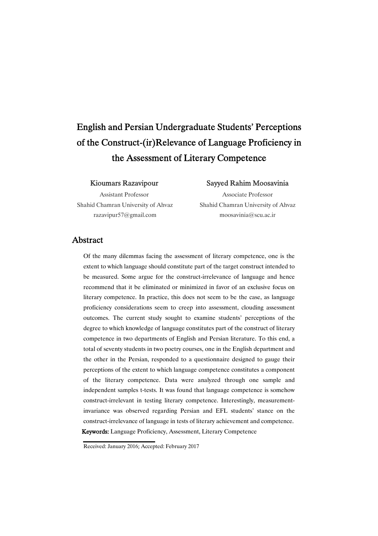# English and Persian Undergraduate Students' Perceptions of the Construct-(ir)Relevance of Language Proficiency in the Assessment of Literary Competence

#### Kioumars Razavipour

Assistant Professor Shahid Chamran University of Ahvaz razavipur57@gmail.com

#### Sayyed Rahim Moosavinia

Associate Professor Shahid Chamran University of Ahvaz moosavinia@scu.ac.ir

### Abstract

Of the many dilemmas facing the assessment of literary competence, one is the extent to which language should constitute part of the target construct intended to be measured. Some argue for the construct-irrelevance of language and hence recommend that it be eliminated or minimized in favor of an exclusive focus on literary competence. In practice, this does not seem to be the case, as language proficiency considerations seem to creep into assessment, clouding assessment outcomes. The current study sought to examine students' perceptions of the degree to which knowledge of language constitutes part of the construct of literary competence in two departments of English and Persian literature. To this end, a total of seventy students in two poetry courses, one in the English department and the other in the Persian, responded to a questionnaire designed to gauge their perceptions of the extent to which language competence constitutes a component of the literary competence. Data were analyzed through one sample and independent samples t-tests. It was found that language competence is somehow construct-irrelevant in testing literary competence. Interestingly, measurementinvariance was observed regarding Persian and EFL students' stance on the construct-irrelevance of language in tests of literary achievement and competence. Keywords:Language Proficiency, Assessment, Literary Competence

Received: January 2016; Accepted: February 2017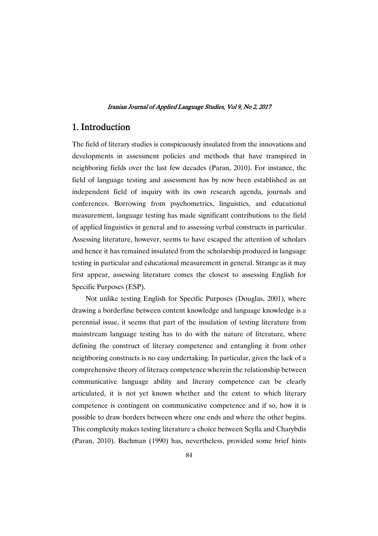### 1. Introduction

The field of literary studies is conspicuously insulated from the innovations and developments in assessment policies and methods that have transpired in neighboring fields over the last few decades (Paran, 2010). For instance, the field of language testing and assessment has by now been established as an independent field of inquiry with its own research agenda, journals and conferences. Borrowing from psychometrics, linguistics, and educational measurement, language testing has made significant contributions to the field of applied linguistics in general and to assessing verbal constructs in particular. Assessing literature, however, seems to have escaped the attention of scholars and hence it has remained insulated from the scholarship produced in language testing in particular and educational measurement in general. Strange as it may first appear, assessing literature comes the closest to assessing English for Specific Purposes (ESP).

Not unlike testing English for Specific Purposes (Douglas, 2001), where drawing a borderline between content knowledge and language knowledge is a perennial issue, it seems that part of the insulation of testing literature from mainstream language testing has to do with the nature of literature, where defining the construct of literary competence and entangling it from other neighboring constructs is no easy undertaking. In particular, given the lack of a comprehensive theory of literacy competence wherein the relationship between communicative language ability and literary competence can be clearly articulated, it is not yet known whether and the extent to which literary competence is contingent on communicative competence and if so, how it is possible to draw borders between where one ends and where the other begins. This complexity makes testing literature a choice between Scylla and Charybdis (Paran, 2010). Bachman (1990) has, nevertheless, provided some brief hints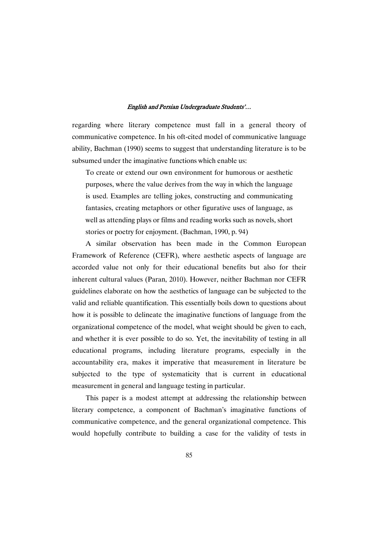regarding where literary competence must fall in a general theory of communicative competence. In his oft-cited model of communicative language ability, Bachman (1990) seems to suggest that understanding literature is to be subsumed under the imaginative functions which enable us:

To create or extend our own environment for humorous or aesthetic purposes, where the value derives from the way in which the language is used. Examples are telling jokes, constructing and communicating fantasies, creating metaphors or other figurative uses of language, as well as attending plays or films and reading works such as novels, short stories or poetry for enjoyment. (Bachman, 1990, p. 94)

A similar observation has been made in the Common European Framework of Reference (CEFR), where aesthetic aspects of language are accorded value not only for their educational benefits but also for their inherent cultural values (Paran, 2010). However, neither Bachman nor CEFR guidelines elaborate on how the aesthetics of language can be subjected to the valid and reliable quantification. This essentially boils down to questions about how it is possible to delineate the imaginative functions of language from the organizational competence of the model, what weight should be given to each, and whether it is ever possible to do so. Yet, the inevitability of testing in all educational programs, including literature programs, especially in the accountability era, makes it imperative that measurement in literature be subjected to the type of systematicity that is current in educational measurement in general and language testing in particular.

This paper is a modest attempt at addressing the relationship between literary competence, a component of Bachman's imaginative functions of communicative competence, and the general organizational competence. This would hopefully contribute to building a case for the validity of tests in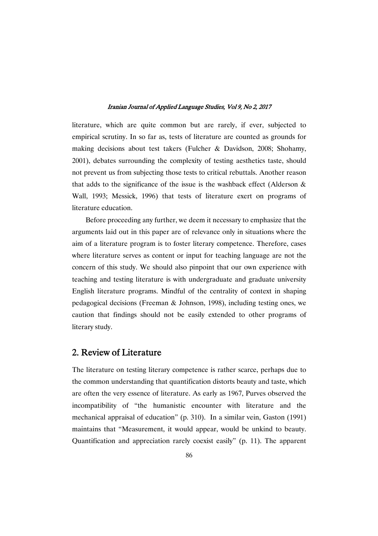literature, which are quite common but are rarely, if ever, subjected to empirical scrutiny. In so far as, tests of literature are counted as grounds for making decisions about test takers (Fulcher & Davidson, 2008; Shohamy, 2001), debates surrounding the complexity of testing aesthetics taste, should not prevent us from subjecting those tests to critical rebuttals. Another reason that adds to the significance of the issue is the washback effect (Alderson  $\&$ Wall, 1993; Messick, 1996) that tests of literature exert on programs of literature education.

Before proceeding any further, we deem it necessary to emphasize that the arguments laid out in this paper are of relevance only in situations where the aim of a literature program is to foster literary competence. Therefore, cases where literature serves as content or input for teaching language are not the concern of this study. We should also pinpoint that our own experience with teaching and testing literature is with undergraduate and graduate university English literature programs. Mindful of the centrality of context in shaping pedagogical decisions (Freeman & Johnson, 1998), including testing ones, we caution that findings should not be easily extended to other programs of literary study.

# 2. Review of Literature

The literature on testing literary competence is rather scarce, perhaps due to the common understanding that quantification distorts beauty and taste, which are often the very essence of literature. As early as 1967, Purves observed the incompatibility of "the humanistic encounter with literature and the mechanical appraisal of education" (p. 310). In a similar vein, Gaston (1991) maintains that "Measurement, it would appear, would be unkind to beauty. Quantification and appreciation rarely coexist easily" (p. 11). The apparent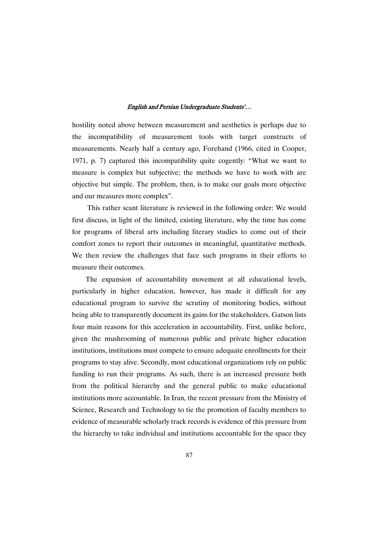hostility noted above between measurement and aesthetics is perhaps due to the incompatibility of measurement tools with target constructs of measurements. Nearly half a century ago, Forehand (1966, cited in Cooper, 1971, p. 7) captured this incompatibility quite cogently: "What we want to measure is complex but subjective; the methods we have to work with are objective but simple. The problem, then, is to make our goals more objective and our measures more complex".

This rather scant literature is reviewed in the following order: We would first discuss, in light of the limited, existing literature, why the time has come for programs of liberal arts including literary studies to come out of their comfort zones to report their outcomes in meaningful, quantitative methods. We then review the challenges that face such programs in their efforts to measure their outcomes.

The expansion of accountability movement at all educational levels, particularly in higher education, however, has made it difficult for any educational program to survive the scrutiny of monitoring bodies, without being able to transparently document its gains for the stakeholders. Gatson lists four main reasons for this acceleration in accountability. First, unlike before, given the mushrooming of numerous public and private higher education institutions, institutions must compete to ensure adequate enrollments for their programs to stay alive. Secondly, most educational organizations rely on public funding to run their programs. As such, there is an increased pressure both from the political hierarchy and the general public to make educational institutions more accountable. In Iran, the recent pressure from the Ministry of Science, Research and Technology to tie the promotion of faculty members to evidence of measurable scholarly track records is evidence of this pressure from the hierarchy to take individual and institutions accountable for the space they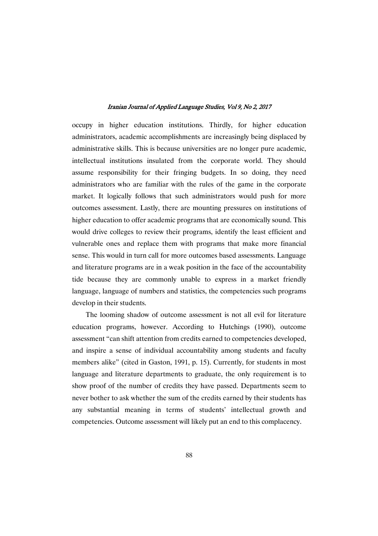occupy in higher education institutions. Thirdly, for higher education administrators, academic accomplishments are increasingly being displaced by administrative skills. This is because universities are no longer pure academic, intellectual institutions insulated from the corporate world. They should assume responsibility for their fringing budgets. In so doing, they need administrators who are familiar with the rules of the game in the corporate market. It logically follows that such administrators would push for more outcomes assessment. Lastly, there are mounting pressures on institutions of higher education to offer academic programs that are economically sound. This would drive colleges to review their programs, identify the least efficient and vulnerable ones and replace them with programs that make more financial sense. This would in turn call for more outcomes based assessments. Language and literature programs are in a weak position in the face of the accountability tide because they are commonly unable to express in a market friendly language, language of numbers and statistics, the competencies such programs develop in their students.

The looming shadow of outcome assessment is not all evil for literature education programs, however. According to Hutchings (1990), outcome assessment "can shift attention from credits earned to competencies developed, and inspire a sense of individual accountability among students and faculty members alike" (cited in Gaston, 1991, p. 15). Currently, for students in most language and literature departments to graduate, the only requirement is to show proof of the number of credits they have passed. Departments seem to never bother to ask whether the sum of the credits earned by their students has any substantial meaning in terms of students' intellectual growth and competencies. Outcome assessment will likely put an end to this complacency.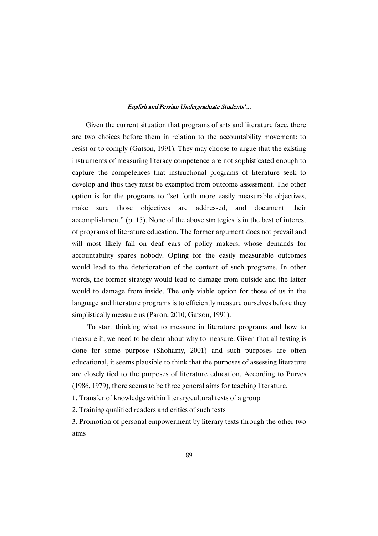Given the current situation that programs of arts and literature face, there are two choices before them in relation to the accountability movement: to resist or to comply (Gatson, 1991). They may choose to argue that the existing instruments of measuring literacy competence are not sophisticated enough to capture the competences that instructional programs of literature seek to develop and thus they must be exempted from outcome assessment. The other option is for the programs to "set forth more easily measurable objectives, make sure those objectives are addressed, and document their accomplishment" (p. 15). None of the above strategies is in the best of interest of programs of literature education. The former argument does not prevail and will most likely fall on deaf ears of policy makers, whose demands for accountability spares nobody. Opting for the easily measurable outcomes would lead to the deterioration of the content of such programs. In other words, the former strategy would lead to damage from outside and the latter would to damage from inside. The only viable option for those of us in the language and literature programs is to efficiently measure ourselves before they simplistically measure us (Paron, 2010; Gatson, 1991).

To start thinking what to measure in literature programs and how to measure it, we need to be clear about why to measure. Given that all testing is done for some purpose (Shohamy, 2001) and such purposes are often educational, it seems plausible to think that the purposes of assessing literature are closely tied to the purposes of literature education. According to Purves (1986, 1979), there seems to be three general aims for teaching literature.

1. Transfer of knowledge within literary/cultural texts of a group

2. Training qualified readers and critics of such texts

3. Promotion of personal empowerment by literary texts through the other two aims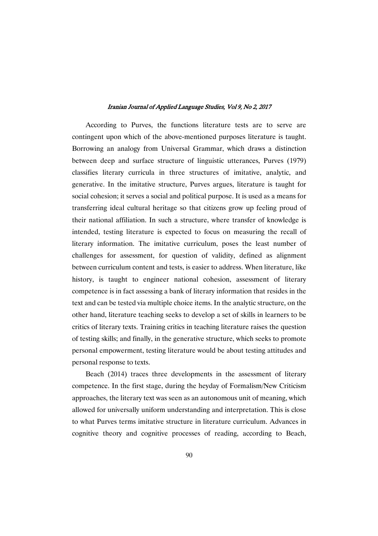According to Purves, the functions literature tests are to serve are contingent upon which of the above-mentioned purposes literature is taught. Borrowing an analogy from Universal Grammar, which draws a distinction between deep and surface structure of linguistic utterances, Purves (1979) classifies literary curricula in three structures of imitative, analytic, and generative. In the imitative structure, Purves argues, literature is taught for social cohesion; it serves a social and political purpose. It is used as a means for transferring ideal cultural heritage so that citizens grow up feeling proud of their national affiliation. In such a structure, where transfer of knowledge is intended, testing literature is expected to focus on measuring the recall of literary information. The imitative curriculum, poses the least number of challenges for assessment, for question of validity, defined as alignment between curriculum content and tests, is easier to address. When literature, like history, is taught to engineer national cohesion, assessment of literary competence is in fact assessing a bank of literary information that resides in the text and can be tested via multiple choice items. In the analytic structure, on the other hand, literature teaching seeks to develop a set of skills in learners to be critics of literary texts. Training critics in teaching literature raises the question of testing skills; and finally, in the generative structure, which seeks to promote personal empowerment, testing literature would be about testing attitudes and personal response to texts.

Beach (2014) traces three developments in the assessment of literary competence. In the first stage, during the heyday of Formalism/New Criticism approaches, the literary text was seen as an autonomous unit of meaning, which allowed for universally uniform understanding and interpretation. This is close to what Purves terms imitative structure in literature curriculum. Advances in cognitive theory and cognitive processes of reading, according to Beach,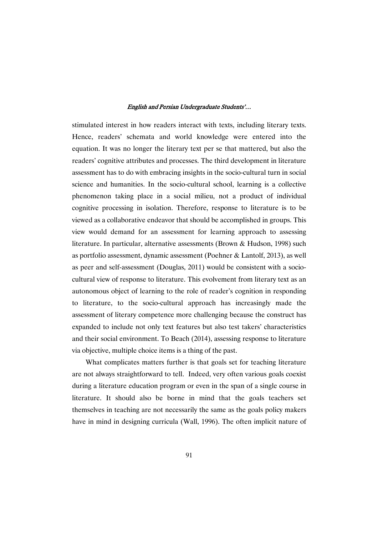stimulated interest in how readers interact with texts, including literary texts. Hence, readers' schemata and world knowledge were entered into the equation. It was no longer the literary text per se that mattered, but also the readers' cognitive attributes and processes. The third development in literature assessment has to do with embracing insights in the socio-cultural turn in social science and humanities. In the socio-cultural school, learning is a collective phenomenon taking place in a social milieu, not a product of individual cognitive processing in isolation. Therefore, response to literature is to be viewed as a collaborative endeavor that should be accomplished in groups. This view would demand for an assessment for learning approach to assessing literature. In particular, alternative assessments (Brown & Hudson, 1998) such as portfolio assessment, dynamic assessment (Poehner & Lantolf, 2013), as well as peer and self-assessment (Douglas, 2011) would be consistent with a sociocultural view of response to literature. This evolvement from literary text as an autonomous object of learning to the role of reader's cognition in responding to literature, to the socio-cultural approach has increasingly made the assessment of literary competence more challenging because the construct has expanded to include not only text features but also test takers' characteristics and their social environment. To Beach (2014), assessing response to literature via objective, multiple choice items is a thing of the past.

What complicates matters further is that goals set for teaching literature are not always straightforward to tell. Indeed, very often various goals coexist during a literature education program or even in the span of a single course in literature. It should also be borne in mind that the goals teachers set themselves in teaching are not necessarily the same as the goals policy makers have in mind in designing curricula (Wall, 1996). The often implicit nature of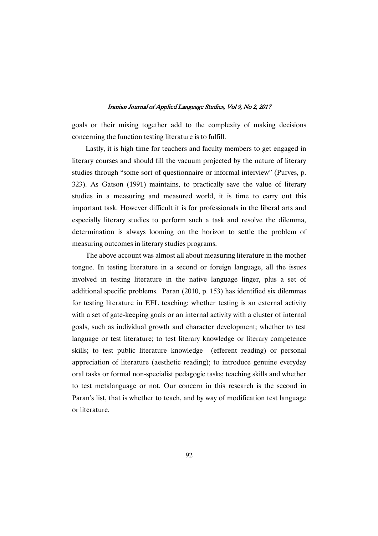goals or their mixing together add to the complexity of making decisions concerning the function testing literature is to fulfill.

Lastly, it is high time for teachers and faculty members to get engaged in literary courses and should fill the vacuum projected by the nature of literary studies through "some sort of questionnaire or informal interview" (Purves, p. 323). As Gatson (1991) maintains, to practically save the value of literary studies in a measuring and measured world, it is time to carry out this important task. However difficult it is for professionals in the liberal arts and especially literary studies to perform such a task and resolve the dilemma, determination is always looming on the horizon to settle the problem of measuring outcomes in literary studies programs.

The above account was almost all about measuring literature in the mother tongue. In testing literature in a second or foreign language, all the issues involved in testing literature in the native language linger, plus a set of additional specific problems. Paran (2010, p. 153) has identified six dilemmas for testing literature in EFL teaching: whether testing is an external activity with a set of gate-keeping goals or an internal activity with a cluster of internal goals, such as individual growth and character development; whether to test language or test literature; to test literary knowledge or literary competence skills; to test public literature knowledge (efferent reading) or personal appreciation of literature (aesthetic reading); to introduce genuine everyday oral tasks or formal non-specialist pedagogic tasks; teaching skills and whether to test metalanguage or not. Our concern in this research is the second in Paran's list, that is whether to teach, and by way of modification test language or literature.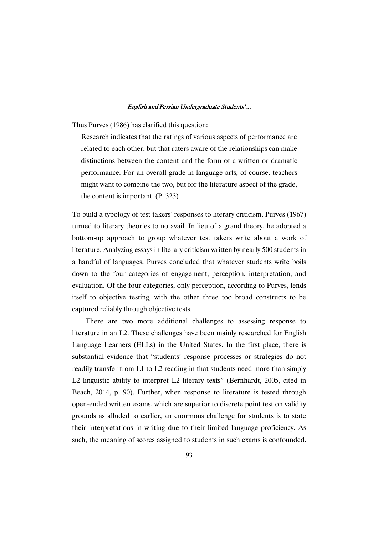Thus Purves (1986) has clarified this question:

Research indicates that the ratings of various aspects of performance are related to each other, but that raters aware of the relationships can make distinctions between the content and the form of a written or dramatic performance. For an overall grade in language arts, of course, teachers might want to combine the two, but for the literature aspect of the grade, the content is important. (P. 323)

To build a typology of test takers' responses to literary criticism, Purves (1967) turned to literary theories to no avail. In lieu of a grand theory, he adopted a bottom-up approach to group whatever test takers write about a work of literature. Analyzing essays in literary criticism written by nearly 500 students in a handful of languages, Purves concluded that whatever students write boils down to the four categories of engagement, perception, interpretation, and evaluation. Of the four categories, only perception, according to Purves, lends itself to objective testing, with the other three too broad constructs to be captured reliably through objective tests.

There are two more additional challenges to assessing response to literature in an L2. These challenges have been mainly researched for English Language Learners (ELLs) in the United States. In the first place, there is substantial evidence that "students' response processes or strategies do not readily transfer from L1 to L2 reading in that students need more than simply L2 linguistic ability to interpret L2 literary texts" (Bernhardt, 2005, cited in Beach, 2014, p. 90). Further, when response to literature is tested through open-ended written exams, which are superior to discrete point test on validity grounds as alluded to earlier, an enormous challenge for students is to state their interpretations in writing due to their limited language proficiency. As such, the meaning of scores assigned to students in such exams is confounded.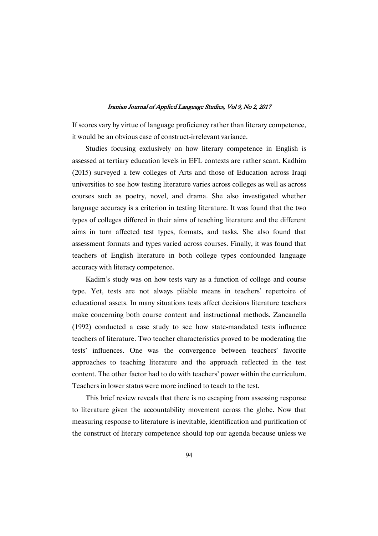If scores vary by virtue of language proficiency rather than literary competence, it would be an obvious case of construct-irrelevant variance.

Studies focusing exclusively on how literary competence in English is assessed at tertiary education levels in EFL contexts are rather scant. Kadhim (2015) surveyed a few colleges of Arts and those of Education across Iraqi universities to see how testing literature varies across colleges as well as across courses such as poetry, novel, and drama. She also investigated whether language accuracy is a criterion in testing literature. It was found that the two types of colleges differed in their aims of teaching literature and the different aims in turn affected test types, formats, and tasks. She also found that assessment formats and types varied across courses. Finally, it was found that teachers of English literature in both college types confounded language accuracy with literacy competence.

Kadim's study was on how tests vary as a function of college and course type. Yet, tests are not always pliable means in teachers' repertoire of educational assets. In many situations tests affect decisions literature teachers make concerning both course content and instructional methods. Zancanella (1992) conducted a case study to see how state-mandated tests influence teachers of literature. Two teacher characteristics proved to be moderating the tests' influences. One was the convergence between teachers' favorite approaches to teaching literature and the approach reflected in the test content. The other factor had to do with teachers' power within the curriculum. Teachers in lower status were more inclined to teach to the test.

This brief review reveals that there is no escaping from assessing response to literature given the accountability movement across the globe. Now that measuring response to literature is inevitable, identification and purification of the construct of literary competence should top our agenda because unless we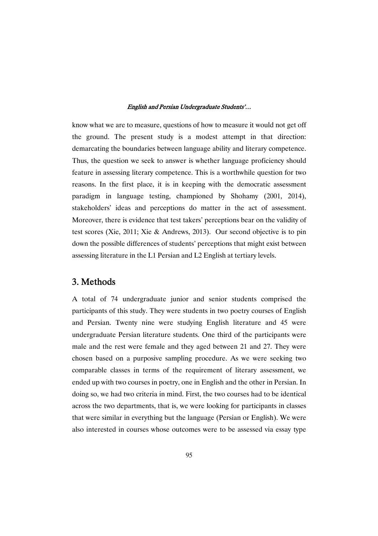know what we are to measure, questions of how to measure it would not get off the ground. The present study is a modest attempt in that direction: demarcating the boundaries between language ability and literary competence. Thus, the question we seek to answer is whether language proficiency should feature in assessing literary competence. This is a worthwhile question for two reasons. In the first place, it is in keeping with the democratic assessment paradigm in language testing, championed by Shohamy (2001, 2014), stakeholders' ideas and perceptions do matter in the act of assessment. Moreover, there is evidence that test takers' perceptions bear on the validity of test scores (Xie, 2011; Xie & Andrews, 2013). Our second objective is to pin down the possible differences of students' perceptions that might exist between assessing literature in the L1 Persian and L2 English at tertiary levels.

# 3. Methods

A total of 74 undergraduate junior and senior students comprised the participants of this study. They were students in two poetry courses of English and Persian. Twenty nine were studying English literature and 45 were undergraduate Persian literature students. One third of the participants were male and the rest were female and they aged between 21 and 27. They were chosen based on a purposive sampling procedure. As we were seeking two comparable classes in terms of the requirement of literary assessment, we ended up with two courses in poetry, one in English and the other in Persian. In doing so, we had two criteria in mind. First, the two courses had to be identical across the two departments, that is, we were looking for participants in classes that were similar in everything but the language (Persian or English). We were also interested in courses whose outcomes were to be assessed via essay type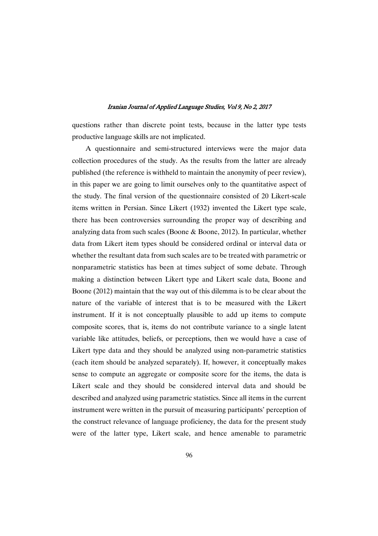questions rather than discrete point tests, because in the latter type tests productive language skills are not implicated.

A questionnaire and semi-structured interviews were the major data collection procedures of the study. As the results from the latter are already published (the reference is withheld to maintain the anonymity of peer review), in this paper we are going to limit ourselves only to the quantitative aspect of the study. The final version of the questionnaire consisted of 20 Likert-scale items written in Persian. Since Likert (1932) invented the Likert type scale, there has been controversies surrounding the proper way of describing and analyzing data from such scales (Boone & Boone, 2012). In particular, whether data from Likert item types should be considered ordinal or interval data or whether the resultant data from such scales are to be treated with parametric or nonparametric statistics has been at times subject of some debate. Through making a distinction between Likert type and Likert scale data, Boone and Boone (2012) maintain that the way out of this dilemma is to be clear about the nature of the variable of interest that is to be measured with the Likert instrument. If it is not conceptually plausible to add up items to compute composite scores, that is, items do not contribute variance to a single latent variable like attitudes, beliefs, or perceptions, then we would have a case of Likert type data and they should be analyzed using non-parametric statistics (each item should be analyzed separately). If, however, it conceptually makes sense to compute an aggregate or composite score for the items, the data is Likert scale and they should be considered interval data and should be described and analyzed using parametric statistics. Since all items in the current instrument were written in the pursuit of measuring participants' perception of the construct relevance of language proficiency, the data for the present study were of the latter type, Likert scale, and hence amenable to parametric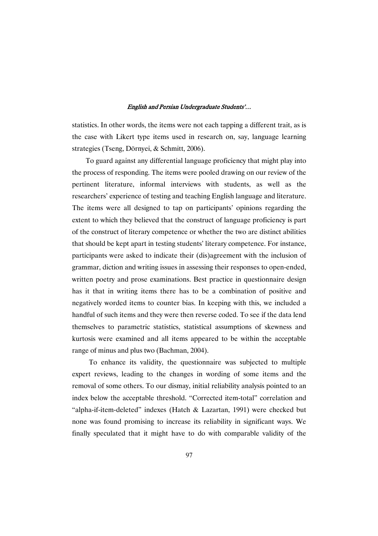statistics. In other words, the items were not each tapping a different trait, as is the case with Likert type items used in research on, say, language learning strategies (Tseng, Dörnyei, & Schmitt, 2006).

To guard against any differential language proficiency that might play into the process of responding. The items were pooled drawing on our review of the pertinent literature, informal interviews with students, as well as the researchers' experience of testing and teaching English language and literature. The items were all designed to tap on participants' opinions regarding the extent to which they believed that the construct of language proficiency is part of the construct of literary competence or whether the two are distinct abilities that should be kept apart in testing students' literary competence. For instance, participants were asked to indicate their (dis)agreement with the inclusion of grammar, diction and writing issues in assessing their responses to open-ended, written poetry and prose examinations. Best practice in questionnaire design has it that in writing items there has to be a combination of positive and negatively worded items to counter bias. In keeping with this, we included a handful of such items and they were then reverse coded. To see if the data lend themselves to parametric statistics, statistical assumptions of skewness and kurtosis were examined and all items appeared to be within the acceptable range of minus and plus two (Bachman, 2004).

To enhance its validity, the questionnaire was subjected to multiple expert reviews, leading to the changes in wording of some items and the removal of some others. To our dismay, initial reliability analysis pointed to an index below the acceptable threshold. "Corrected item-total" correlation and "alpha-if-item-deleted" indexes (Hatch & Lazartan, 1991) were checked but none was found promising to increase its reliability in significant ways. We finally speculated that it might have to do with comparable validity of the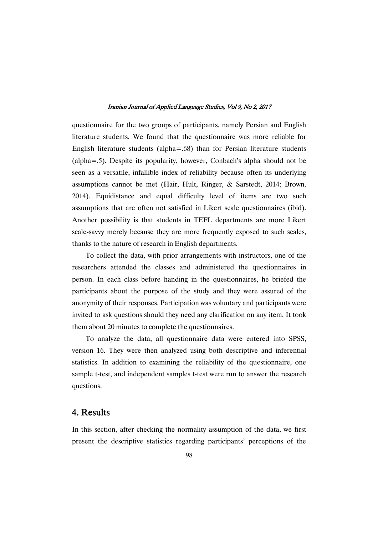questionnaire for the two groups of participants, namely Persian and English literature students. We found that the questionnaire was more reliable for English literature students (alpha=.68) than for Persian literature students (alpha=.5). Despite its popularity, however, Conbach's alpha should not be seen as a versatile, infallible index of reliability because often its underlying assumptions cannot be met (Hair, Hult, Ringer, & Sarstedt, 2014; Brown, 2014). Equidistance and equal difficulty level of items are two such assumptions that are often not satisfied in Likert scale questionnaires (ibid). Another possibility is that students in TEFL departments are more Likert scale-savvy merely because they are more frequently exposed to such scales, thanks to the nature of research in English departments.

To collect the data, with prior arrangements with instructors, one of the researchers attended the classes and administered the questionnaires in person. In each class before handing in the questionnaires, he briefed the participants about the purpose of the study and they were assured of the anonymity of their responses. Participation was voluntary and participants were invited to ask questions should they need any clarification on any item. It took them about 20 minutes to complete the questionnaires.

To analyze the data, all questionnaire data were entered into SPSS, version 16. They were then analyzed using both descriptive and inferential statistics. In addition to examining the reliability of the questionnaire, one sample t-test, and independent samples t-test were run to answer the research questions.

# 4. Results

In this section, after checking the normality assumption of the data, we first present the descriptive statistics regarding participants' perceptions of the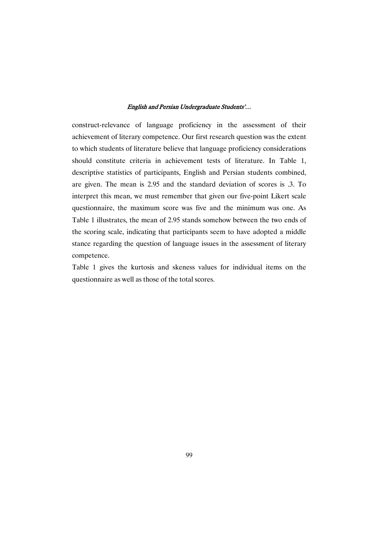construct-relevance of language proficiency in the assessment of their achievement of literary competence. Our first research question was the extent to which students of literature believe that language proficiency considerations should constitute criteria in achievement tests of literature. In Table 1, descriptive statistics of participants, English and Persian students combined, are given. The mean is 2.95 and the standard deviation of scores is .3. To interpret this mean, we must remember that given our five-point Likert scale questionnaire, the maximum score was five and the minimum was one. As Table 1 illustrates, the mean of 2.95 stands somehow between the two ends of the scoring scale, indicating that participants seem to have adopted a middle stance regarding the question of language issues in the assessment of literary competence.

Table 1 gives the kurtosis and skeness values for individual items on the questionnaire as well as those of the total scores.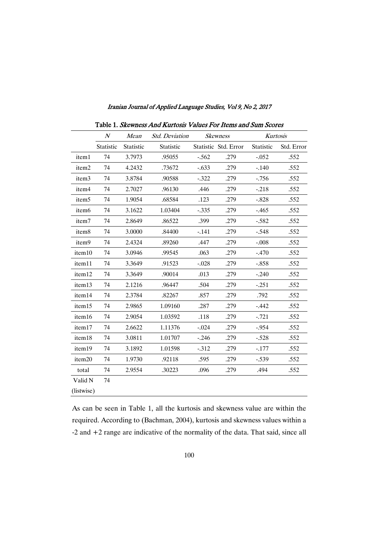|                   | $N_{\rm}$<br>Mean |           | <b>Std.</b> Deviation |         | Skewness             | Kurtosis         |            |  |
|-------------------|-------------------|-----------|-----------------------|---------|----------------------|------------------|------------|--|
|                   | Statistic         | Statistic | Statistic             |         | Statistic Std. Error | <b>Statistic</b> | Std. Error |  |
| item1             | 74                | 3.7973    | .95055                | $-.562$ | .279                 | $-.052$          | .552       |  |
| item2             | 74                | 4.2432    | .73672                | $-.633$ | .279                 | $-.140$          | .552       |  |
| item <sub>3</sub> | 74                | 3.8784    | .90588                | $-.322$ | .279                 | $-0.756$         | .552       |  |
| item4             | 74                | 2.7027    | .96130                | .446    | .279                 | $-.218$          | .552       |  |
| item <sub>5</sub> | 74                | 1.9054    | .68584                | .123    | .279                 | $-.828$          | .552       |  |
| item <sub>6</sub> | 74                | 3.1622    | 1.03404               | $-.335$ | .279                 | $-465$           | .552       |  |
| item7             | 74                | 2.8649    | .86522                | .399    | .279                 | $-.582$          | .552       |  |
| item8             | 74                | 3.0000    | .84400                | $-.141$ | .279                 | $-.548$          | .552       |  |
| item9             | 74                | 2.4324    | .89260                | .447    | .279                 | $-.008$          | .552       |  |
| item10            | 74                | 3.0946    | .99545                | .063    | .279                 | $-.470$          | .552       |  |
| item11            | 74                | 3.3649    | .91523                | $-.028$ | .279                 | $-.858$          | .552       |  |
| item12            | 74                | 3.3649    | .90014                | .013    | .279                 | $-.240$          | .552       |  |
| item13            | 74                | 2.1216    | .96447                | .504    | .279                 | $-.251$          | .552       |  |
| item14            | 74                | 2.3784    | .82267                | .857    | .279                 | .792             | .552       |  |
| item15            | 74                | 2.9865    | 1.09160               | .287    | .279                 | $-.442$          | .552       |  |
| item16            | 74                | 2.9054    | 1.03592               | .118    | .279                 | $-.721$          | .552       |  |
| item17            | 74                | 2.6622    | 1.11376               | $-.024$ | .279                 | $-.954$          | .552       |  |
| item18            | 74                | 3.0811    | 1.01707               | $-.246$ | .279                 | $-.528$          | .552       |  |
| item19            | 74                | 3.1892    | 1.01598               | $-.312$ | .279                 | $-177$           | .552       |  |
| item20            | 74                | 1.9730    | .92118                | .595    | .279                 | $-.539$          | .552       |  |
| total             | 74                | 2.9554    | .30223                | .096    | .279                 | .494             | .552       |  |
| Valid N           | 74                |           |                       |         |                      |                  |            |  |
| (listwise)        |                   |           |                       |         |                      |                  |            |  |

Table 1. Skewness And Kurtosis Values For Items and Sum Scores

As can be seen in Table 1, all the kurtosis and skewness value are within the required. According to (Bachman, 2004), kurtosis and skewness values within a -2 and +2 range are indicative of the normality of the data. That said, since all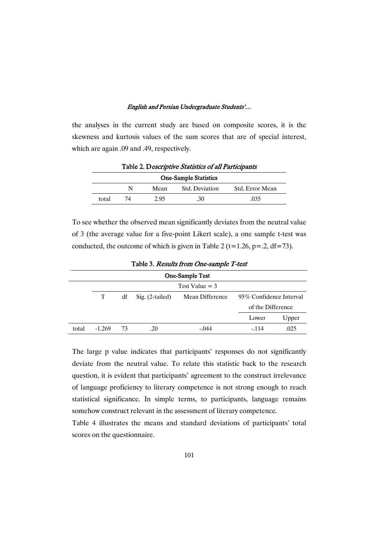the analyses in the current study are based on composite scores, it is the skewness and kurtosis values of the sum scores that are of special interest, which are again .09 and .49, respectively.

| <b>One-Sample Statistics</b> |    |      |                |                 |  |  |  |  |  |
|------------------------------|----|------|----------------|-----------------|--|--|--|--|--|
|                              |    | Mean | Std. Deviation | Std. Error Mean |  |  |  |  |  |
| total                        | 74 | 2.95 | .30            | .035            |  |  |  |  |  |

Table 2. Descriptive Statistics of all Participants

To see whether the observed mean significantly deviates from the neutral value of 3 (the average value for a five-point Likert scale), a one sample t-test was conducted, the outcome of which is given in Table 2 (t=1.26, p=.2, df=73).

| One-Sample Test |                  |    |                   |                 |                         |                   |  |  |  |  |
|-----------------|------------------|----|-------------------|-----------------|-------------------------|-------------------|--|--|--|--|
|                 | Test Value $=$ 3 |    |                   |                 |                         |                   |  |  |  |  |
|                 | T                | df | $Sig. (2-tailed)$ | Mean Difference | 95% Confidence Interval |                   |  |  |  |  |
|                 |                  |    |                   |                 |                         | of the Difference |  |  |  |  |
|                 |                  |    |                   |                 | Lower                   | Upper             |  |  |  |  |
| total           | $-1.269$         | 73 | .20               | $-.044$         | $-114$                  | .025              |  |  |  |  |

Table 3. Results from One-sample T-test

The large p value indicates that participants' responses do not significantly deviate from the neutral value. To relate this statistic back to the research question, it is evident that participants' agreement to the construct irrelevance of language proficiency to literary competence is not strong enough to reach statistical significance. In simple terms, to participants, language remains somehow construct relevant in the assessment of literary competence.

Table 4 illustrates the means and standard deviations of participants' total scores on the questionnaire.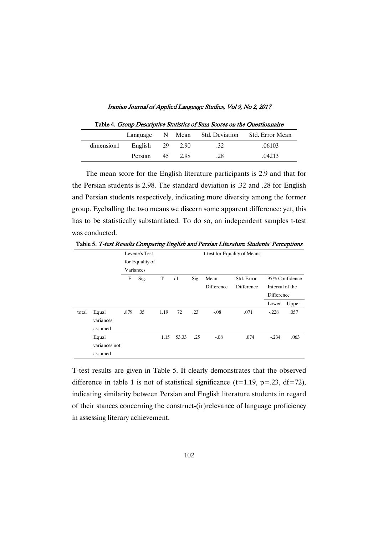| Table 4. Group Descriptive Statistics of Sum Scores on the Questionnaire |            |  |        |     |                                                |  |  |
|--------------------------------------------------------------------------|------------|--|--------|-----|------------------------------------------------|--|--|
|                                                                          |            |  |        |     | Language N Mean Std. Deviation Std. Error Mean |  |  |
| dimension1                                                               | English 29 |  | 2.90   | .32 | .06103                                         |  |  |
|                                                                          | Persian 45 |  | - 2.98 | -28 | 04213                                          |  |  |

The mean score for the English literature participants is 2.9 and that for the Persian students is 2.98. The standard deviation is .32 and .28 for English and Persian students respectively, indicating more diversity among the former group. Eyeballing the two means we discern some apparent difference; yet, this has to be statistically substantiated. To do so, an independent samples t-test was conducted.

Table 5. T-test Results Comparing English and Persian Literature Students' Perceptions

|       |               | Levene's Test |                 |      |       | t-test for Equality of Means |            |            |                 |                |
|-------|---------------|---------------|-----------------|------|-------|------------------------------|------------|------------|-----------------|----------------|
|       |               |               | for Equality of |      |       |                              |            |            |                 |                |
|       |               |               | Variances       |      |       |                              |            |            |                 |                |
|       |               | F             | Sig.            | T    | df    | Sig.                         | Mean       | Std. Error |                 | 95% Confidence |
|       |               |               |                 |      |       |                              | Difference | Difference | Interval of the |                |
|       |               |               |                 |      |       |                              |            |            | Difference      |                |
|       |               |               |                 |      |       |                              |            |            | Lower           | Upper          |
| total | Equal         | .879          | .35             | 1.19 | 72    | .23                          | $-.08$     | .071       | $-.228$         | .057           |
|       | variances     |               |                 |      |       |                              |            |            |                 |                |
|       | assumed       |               |                 |      |       |                              |            |            |                 |                |
|       | Equal         |               |                 | 1.15 | 53.33 | .25                          | $-.08$     | .074       | $-.234$         | .063           |
|       | variances not |               |                 |      |       |                              |            |            |                 |                |
|       | assumed       |               |                 |      |       |                              |            |            |                 |                |

T-test results are given in Table 5. It clearly demonstrates that the observed difference in table 1 is not of statistical significance ( $t=1.19$ ,  $p=.23$ ,  $df=72$ ), indicating similarity between Persian and English literature students in regard of their stances concerning the construct-(ir)relevance of language proficiency in assessing literary achievement.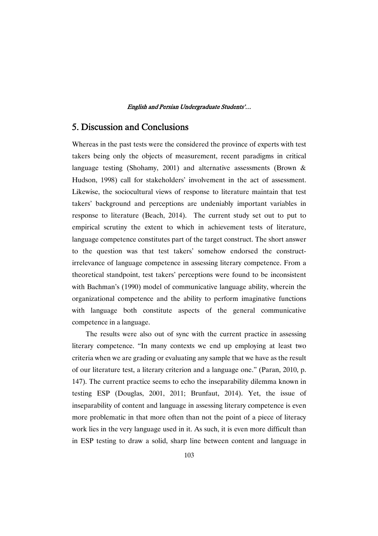# 5. Discussion and Conclusions

Whereas in the past tests were the considered the province of experts with test takers being only the objects of measurement, recent paradigms in critical language testing (Shohamy, 2001) and alternative assessments (Brown & Hudson, 1998) call for stakeholders' involvement in the act of assessment. Likewise, the sociocultural views of response to literature maintain that test takers' background and perceptions are undeniably important variables in response to literature (Beach, 2014). The current study set out to put to empirical scrutiny the extent to which in achievement tests of literature, language competence constitutes part of the target construct. The short answer to the question was that test takers' somehow endorsed the constructirrelevance of language competence in assessing literary competence. From a theoretical standpoint, test takers' perceptions were found to be inconsistent with Bachman's (1990) model of communicative language ability, wherein the organizational competence and the ability to perform imaginative functions with language both constitute aspects of the general communicative competence in a language.

The results were also out of sync with the current practice in assessing literary competence. "In many contexts we end up employing at least two criteria when we are grading or evaluating any sample that we have as the result of our literature test, a literary criterion and a language one." (Paran, 2010, p. 147). The current practice seems to echo the inseparability dilemma known in testing ESP (Douglas, 2001, 2011; Brunfaut, 2014). Yet, the issue of inseparability of content and language in assessing literary competence is even more problematic in that more often than not the point of a piece of literacy work lies in the very language used in it. As such, it is even more difficult than in ESP testing to draw a solid, sharp line between content and language in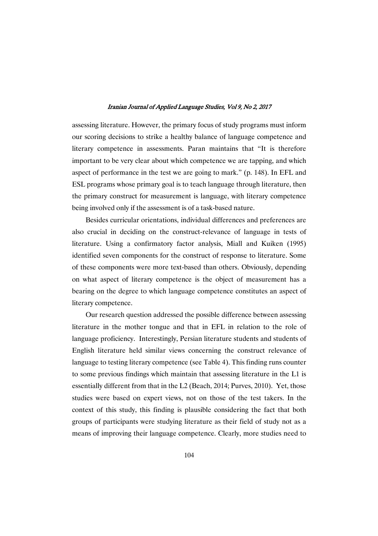assessing literature. However, the primary focus of study programs must inform our scoring decisions to strike a healthy balance of language competence and literary competence in assessments. Paran maintains that "It is therefore important to be very clear about which competence we are tapping, and which aspect of performance in the test we are going to mark." (p. 148). In EFL and ESL programs whose primary goal is to teach language through literature, then the primary construct for measurement is language, with literary competence being involved only if the assessment is of a task-based nature.

Besides curricular orientations, individual differences and preferences are also crucial in deciding on the construct-relevance of language in tests of literature. Using a confirmatory factor analysis, Miall and Kuiken (1995) identified seven components for the construct of response to literature. Some of these components were more text-based than others. Obviously, depending on what aspect of literary competence is the object of measurement has a bearing on the degree to which language competence constitutes an aspect of literary competence.

Our research question addressed the possible difference between assessing literature in the mother tongue and that in EFL in relation to the role of language proficiency. Interestingly, Persian literature students and students of English literature held similar views concerning the construct relevance of language to testing literary competence (see Table 4). This finding runs counter to some previous findings which maintain that assessing literature in the L1 is essentially different from that in the L2 (Beach, 2014; Purves, 2010). Yet, those studies were based on expert views, not on those of the test takers. In the context of this study, this finding is plausible considering the fact that both groups of participants were studying literature as their field of study not as a means of improving their language competence. Clearly, more studies need to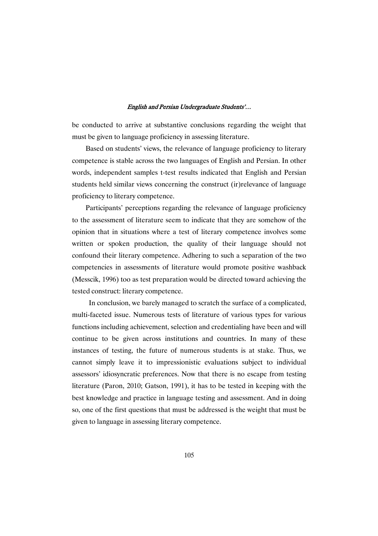be conducted to arrive at substantive conclusions regarding the weight that must be given to language proficiency in assessing literature.

Based on students' views, the relevance of language proficiency to literary competence is stable across the two languages of English and Persian. In other words, independent samples t-test results indicated that English and Persian students held similar views concerning the construct (ir)relevance of language proficiency to literary competence.

Participants' perceptions regarding the relevance of language proficiency to the assessment of literature seem to indicate that they are somehow of the opinion that in situations where a test of literary competence involves some written or spoken production, the quality of their language should not confound their literary competence. Adhering to such a separation of the two competencies in assessments of literature would promote positive washback (Messcik, 1996) too as test preparation would be directed toward achieving the tested construct: literary competence.

In conclusion, we barely managed to scratch the surface of a complicated, multi-faceted issue. Numerous tests of literature of various types for various functions including achievement, selection and credentialing have been and will continue to be given across institutions and countries. In many of these instances of testing, the future of numerous students is at stake. Thus, we cannot simply leave it to impressionistic evaluations subject to individual assessors' idiosyncratic preferences. Now that there is no escape from testing literature (Paron, 2010; Gatson, 1991), it has to be tested in keeping with the best knowledge and practice in language testing and assessment. And in doing so, one of the first questions that must be addressed is the weight that must be given to language in assessing literary competence.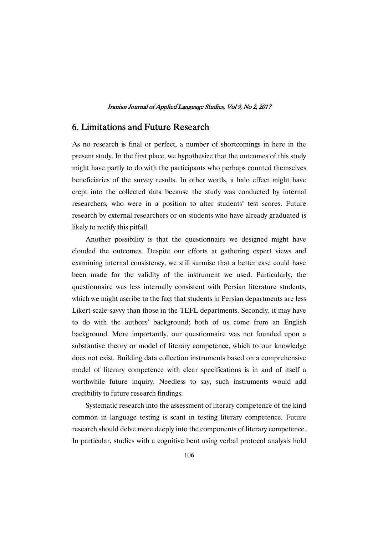# 6. Limitations and Future Research

As no research is final or perfect, a number of shortcomings in here in the present study. In the first place, we hypothesize that the outcomes of this study might have partly to do with the participants who perhaps counted themselves beneficiaries of the survey results. In other words, a halo effect might have crept into the collected data because the study was conducted by internal researchers, who were in a position to alter students' test scores. Future research by external researchers or on students who have already graduated is likely to rectify this pitfall.

Another possibility is that the questionnaire we designed might have clouded the outcomes. Despite our efforts at gathering expert views and examining internal consistency, we still surmise that a better case could have been made for the validity of the instrument we used. Particularly, the questionnaire was less internally consistent with Persian literature students, which we might ascribe to the fact that students in Persian departments are less Likert-scale-savvy than those in the TEFL departments. Secondly, it may have to do with the authors' background; both of us come from an English background. More importantly, our questionnaire was not founded upon a substantive theory or model of literary competence, which to our knowledge does not exist. Building data collection instruments based on a comprehensive model of literary competence with clear specifications is in and of itself a worthwhile future inquiry. Needless to say, such instruments would add credibility to future research findings.

Systematic research into the assessment of literary competence of the kind common in language testing is scant in testing literary competence. Future research should delve more deeply into the components of literary competence. In particular, studies with a cognitive bent using verbal protocol analysis hold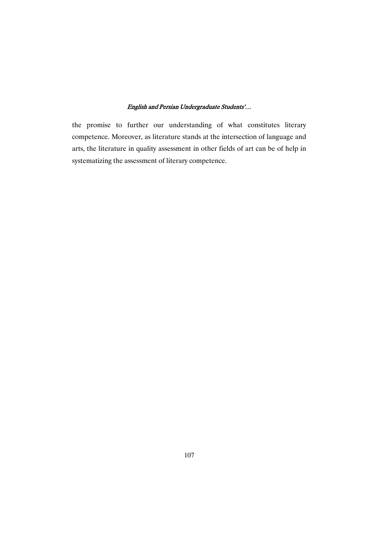the promise to further our understanding of what constitutes literary competence. Moreover, as literature stands at the intersection of language and arts, the literature in quality assessment in other fields of art can be of help in systematizing the assessment of literary competence.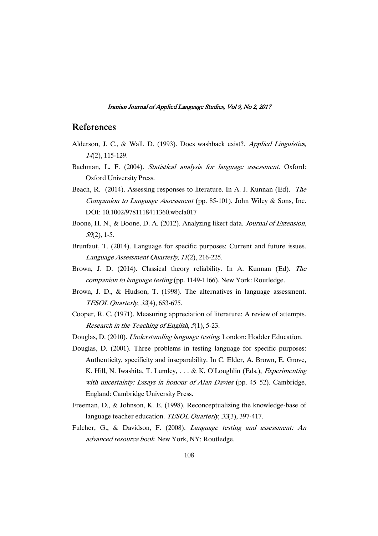### References

- Alderson, J. C., & Wall, D. (1993). Does washback exist?. Applied Linguistics, <sup>14</sup>(2), 115-129.
- Bachman, L. F. (2004). Statistical analysis for language assessment. Oxford: Oxford University Press.
- Beach, R. (2014). Assessing responses to literature. In A. J. Kunnan (Ed). The Companion to Language Assessment (pp. 85-101). John Wiley & Sons, Inc. DOI: 10.1002/9781118411360.wbcla017
- Boone, H. N., & Boone, D. A. (2012). Analyzing likert data. Journal of Extension,  $50(2)$ , 1-5.
- Brunfaut, T. (2014). Language for specific purposes: Current and future issues. Language Assessment Quarterly, <sup>11</sup>(2), 216-225.
- Brown, J. D. (2014). Classical theory reliability. In A. Kunnan (Ed). The companion to language testing (pp. 1149-1166). New York: Routledge.
- Brown, J. D., & Hudson, T. (1998). The alternatives in language assessment. TESOL Quarterly, <sup>32</sup>(4), 653-675.
- Cooper, R. C. (1971). Measuring appreciation of literature: A review of attempts. Research in the Teaching of English, <sup>5</sup>(1), 5-23.
- Douglas, D. (2010). Understanding language testing. London: Hodder Education.
- Douglas, D. (2001). Three problems in testing language for specific purposes: Authenticity, specificity and inseparability. In C. Elder, A. Brown, E. Grove, K. Hill, N. Iwashita, T. Lumley, . . . & K. O'Loughlin (Eds.), Experimenting with uncertainty: Essays in honour of Alan Davies (pp. 45–52). Cambridge, England: Cambridge University Press.
- Freeman, D., & Johnson, K. E. (1998). Reconceptualizing the knowledge-base of language teacher education. TESOL Quarterly, 32(3), 397-417.
- Fulcher, G., & Davidson, F. (2008). Language testing and assessment: An advanced resource book. New York, NY: Routledge.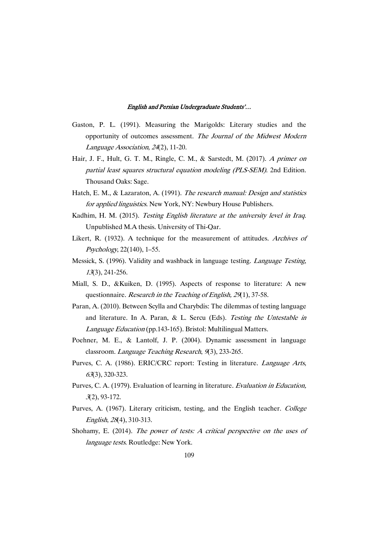- Gaston, P. L. (1991). Measuring the Marigolds: Literary studies and the opportunity of outcomes assessment. The Journal of the Midwest Modern Language Association, <sup>24</sup>(2), 11-20.
- Hair, J. F., Hult, G. T. M., Ringle, C. M., & Sarstedt, M. (2017). <sup>A</sup> primer on partial least squares structural equation modeling (PLS-SEM). 2nd Edition. Thousand Oaks: Sage.
- Hatch, E. M., & Lazaraton, A. (1991). The research manual: Design and statistics for applied linguistics. New York, NY: Newbury House Publishers.
- Kadhim, H. M. (2015). Testing English literature at the university level in Iraq. Unpublished M.A thesis. University of Thi-Qar.
- Likert, R. (1932). A technique for the measurement of attitudes. Archives of Psychology, 22(140), 1–55.
- Messick, S. (1996). Validity and washback in language testing. Language Testing, <sup>13</sup>(3), 241-256.
- Miall, S. D., &Kuiken, D. (1995). Aspects of response to literature: A new questionnaire. *Research in the Teaching of English, 29*(1), 37-58.
- Paran, A. (2010). Between Scylla and Charybdis: The dilemmas of testing language and literature. In A. Paran, & L. Sercu (Eds). Testing the Untestable in Language Education (pp.143-165). Bristol: Multilingual Matters.
- Poehner, M. E., & Lantolf, J. P. (2004). Dynamic assessment in language classroom. *Language Teaching Research*, 9(3), 233-265.
- Purves, C. A. (1986). ERIC/CRC report: Testing in literature. Language Arts, <sup>63</sup>(3), 320-323.
- Purves, C. A. (1979). Evaluation of learning in literature. Evaluation in Education, <sup>3</sup>(2), 93-172.
- Purves, A. (1967). Literary criticism, testing, and the English teacher. College English, <sup>28</sup>(4), 310-313.
- Shohamy, E. (2014). The power of tests: <sup>A</sup> critical perspective on the uses of language tests. Routledge: New York.